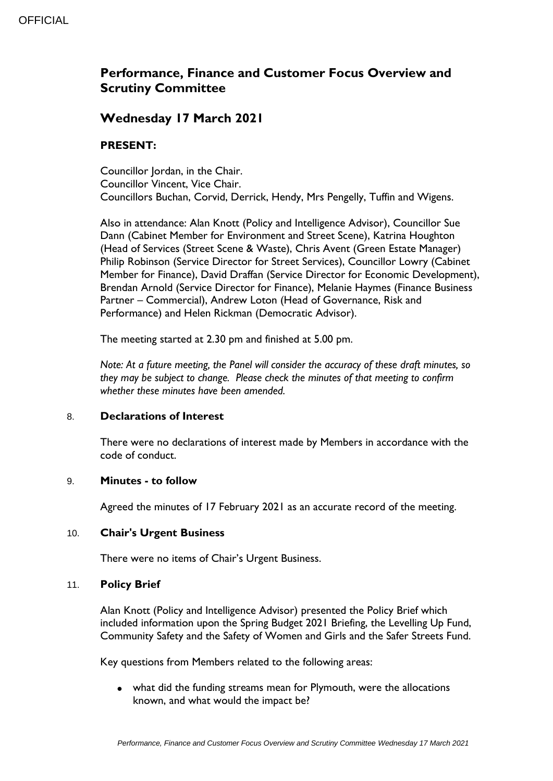# **Performance, Finance and Customer Focus Overview and Scrutiny Committee**

## **Wednesday 17 March 2021**

### **PRESENT:**

Councillor Iordan, in the Chair. Councillor Vincent, Vice Chair. Councillors Buchan, Corvid, Derrick, Hendy, Mrs Pengelly, Tuffin and Wigens.

Also in attendance: Alan Knott (Policy and Intelligence Advisor), Councillor Sue Dann (Cabinet Member for Environment and Street Scene), Katrina Houghton (Head of Services (Street Scene & Waste), Chris Avent (Green Estate Manager) Philip Robinson (Service Director for Street Services), Councillor Lowry (Cabinet Member for Finance), David Draffan (Service Director for Economic Development), Brendan Arnold (Service Director for Finance), Melanie Haymes (Finance Business Partner – Commercial), Andrew Loton (Head of Governance, Risk and Performance) and Helen Rickman (Democratic Advisor).

The meeting started at 2.30 pm and finished at 5.00 pm.

*Note: At a future meeting, the Panel will consider the accuracy of these draft minutes, so they may be subject to change. Please check the minutes of that meeting to confirm whether these minutes have been amended.*

#### 8. **Declarations of Interest**

There were no declarations of interest made by Members in accordance with the code of conduct.

#### 9. **Minutes - to follow**

Agreed the minutes of 17 February 2021 as an accurate record of the meeting.

#### 10. **Chair's Urgent Business**

There were no items of Chair's Urgent Business.

#### 11. **Policy Brief**

Alan Knott (Policy and Intelligence Advisor) presented the Policy Brief which included information upon the Spring Budget 2021 Briefing, the Levelling Up Fund, Community Safety and the Safety of Women and Girls and the Safer Streets Fund.

Key questions from Members related to the following areas:

 what did the funding streams mean for Plymouth, were the allocations known, and what would the impact be?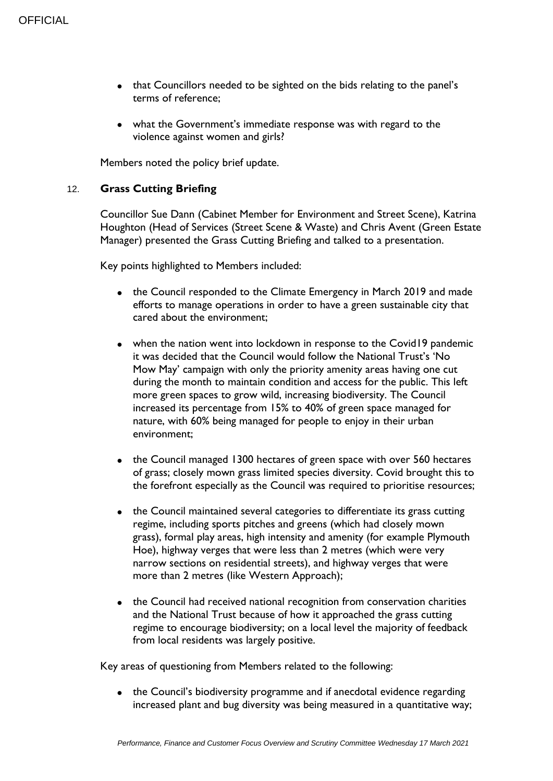- that Councillors needed to be sighted on the bids relating to the panel's terms of reference;
- what the Government's immediate response was with regard to the violence against women and girls?

Members noted the policy brief update.

#### 12. **Grass Cutting Briefing**

Councillor Sue Dann (Cabinet Member for Environment and Street Scene), Katrina Houghton (Head of Services (Street Scene & Waste) and Chris Avent (Green Estate Manager) presented the Grass Cutting Briefing and talked to a presentation.

Key points highlighted to Members included:

- the Council responded to the Climate Emergency in March 2019 and made efforts to manage operations in order to have a green sustainable city that cared about the environment;
- when the nation went into lockdown in response to the Covid19 pandemic it was decided that the Council would follow the National Trust's 'No Mow May' campaign with only the priority amenity areas having one cut during the month to maintain condition and access for the public. This left more green spaces to grow wild, increasing biodiversity. The Council increased its percentage from 15% to 40% of green space managed for nature, with 60% being managed for people to enjoy in their urban environment;
- the Council managed 1300 hectares of green space with over 560 hectares of grass; closely mown grass limited species diversity. Covid brought this to the forefront especially as the Council was required to prioritise resources;
- the Council maintained several categories to differentiate its grass cutting regime, including sports pitches and greens (which had closely mown grass), formal play areas, high intensity and amenity (for example Plymouth Hoe), highway verges that were less than 2 metres (which were very narrow sections on residential streets), and highway verges that were more than 2 metres (like Western Approach);
- the Council had received national recognition from conservation charities and the National Trust because of how it approached the grass cutting regime to encourage biodiversity; on a local level the majority of feedback from local residents was largely positive.

Key areas of questioning from Members related to the following:

• the Council's biodiversity programme and if anecdotal evidence regarding increased plant and bug diversity was being measured in a quantitative way;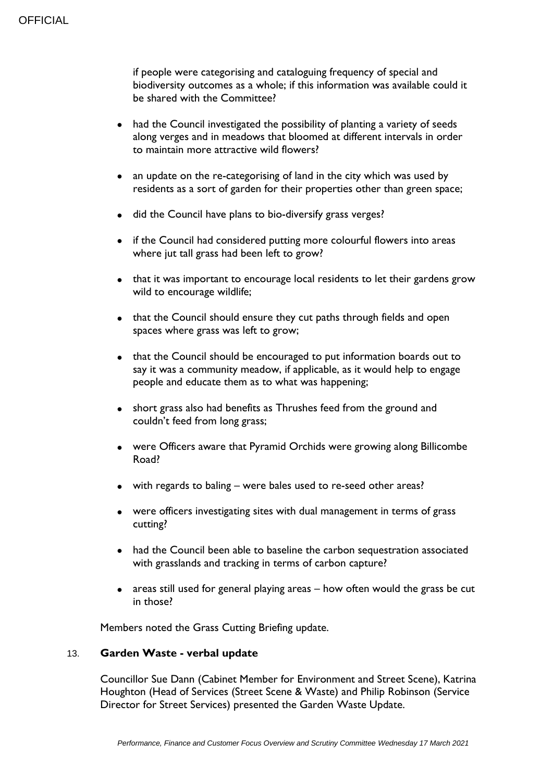if people were categorising and cataloguing frequency of special and biodiversity outcomes as a whole; if this information was available could it be shared with the Committee?

- had the Council investigated the possibility of planting a variety of seeds along verges and in meadows that bloomed at different intervals in order to maintain more attractive wild flowers?
- an update on the re-categorising of land in the city which was used by residents as a sort of garden for their properties other than green space;
- $\bullet$  did the Council have plans to bio-diversify grass verges?
- if the Council had considered putting more colourful flowers into areas where jut tall grass had been left to grow?
- that it was important to encourage local residents to let their gardens grow wild to encourage wildlife;
- that the Council should ensure they cut paths through fields and open spaces where grass was left to grow;
- that the Council should be encouraged to put information boards out to say it was a community meadow, if applicable, as it would help to engage people and educate them as to what was happening;
- short grass also had benefits as Thrushes feed from the ground and couldn't feed from long grass;
- were Officers aware that Pyramid Orchids were growing along Billicombe Road?
- with regards to baling were bales used to re-seed other areas?
- were officers investigating sites with dual management in terms of grass cutting?
- had the Council been able to baseline the carbon sequestration associated with grasslands and tracking in terms of carbon capture?
- areas still used for general playing areas how often would the grass be cut in those?

Members noted the Grass Cutting Briefing update.

#### 13. **Garden Waste - verbal update**

Councillor Sue Dann (Cabinet Member for Environment and Street Scene), Katrina Houghton (Head of Services (Street Scene & Waste) and Philip Robinson (Service Director for Street Services) presented the Garden Waste Update.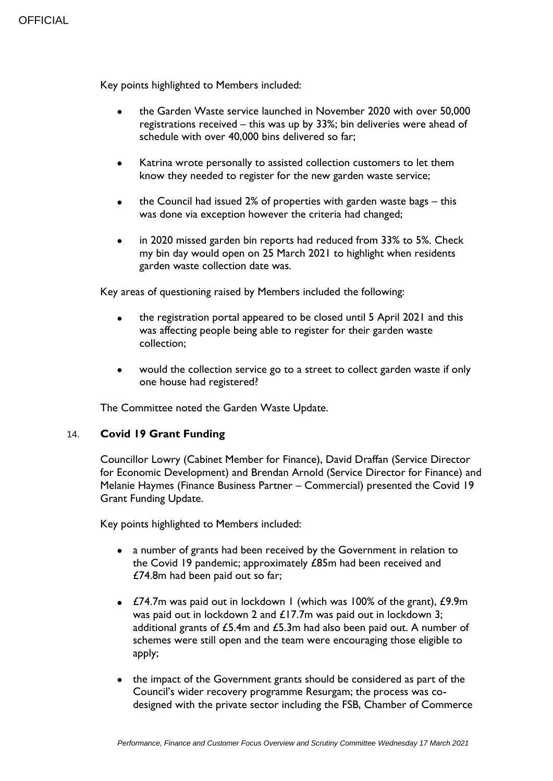Key points highlighted to Members included:

- the Garden Waste service launched in November 2020 with over 50,000 registrations received – this was up by 33%; bin deliveries were ahead of schedule with over 40,000 bins delivered so far;
- Katrina wrote personally to assisted collection customers to let them know they needed to register for the new garden waste service;
- the Council had issued 2% of properties with garden waste bags this was done via exception however the criteria had changed;
- in 2020 missed garden bin reports had reduced from 33% to 5%. Check my bin day would open on 25 March 2021 to highlight when residents garden waste collection date was.

Key areas of questioning raised by Members included the following:

- the registration portal appeared to be closed until 5 April 2021 and this was affecting people being able to register for their garden waste collection;
- would the collection service go to a street to collect garden waste if only one house had registered?

The Committee noted the Garden Waste Update.

#### 14. **Covid 19 Grant Funding**

Councillor Lowry (Cabinet Member for Finance), David Draffan (Service Director for Economic Development) and Brendan Arnold (Service Director for Finance) and Melanie Haymes (Finance Business Partner – Commercial) presented the Covid 19 Grant Funding Update.

Key points highlighted to Members included:

- a number of grants had been received by the Government in relation to the Covid 19 pandemic; approximately £85m had been received and £74.8m had been paid out so far;
- £74.7m was paid out in lockdown 1 (which was 100% of the grant), £9.9m was paid out in lockdown 2 and £17.7m was paid out in lockdown 3; additional grants of £5.4m and £5.3m had also been paid out. A number of schemes were still open and the team were encouraging those eligible to apply;
- the impact of the Government grants should be considered as part of the Council's wider recovery programme Resurgam; the process was codesigned with the private sector including the FSB, Chamber of Commerce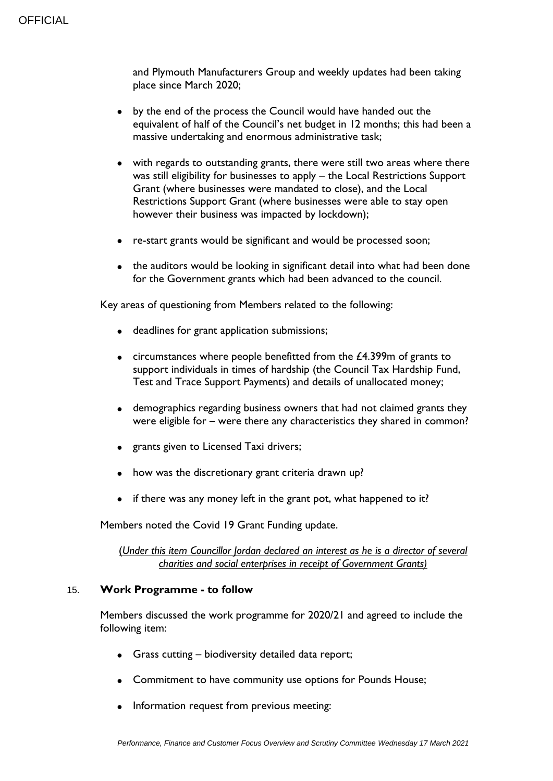and Plymouth Manufacturers Group and weekly updates had been taking place since March 2020;

- by the end of the process the Council would have handed out the equivalent of half of the Council's net budget in 12 months; this had been a massive undertaking and enormous administrative task;
- with regards to outstanding grants, there were still two areas where there was still eligibility for businesses to apply – the Local Restrictions Support Grant (where businesses were mandated to close), and the Local Restrictions Support Grant (where businesses were able to stay open however their business was impacted by lockdown);
- re-start grants would be significant and would be processed soon;
- the auditors would be looking in significant detail into what had been done for the Government grants which had been advanced to the council.

Key areas of questioning from Members related to the following:

- deadlines for grant application submissions;
- $\bullet$  circumstances where people benefitted from the £4.399m of grants to support individuals in times of hardship (the Council Tax Hardship Fund, Test and Trace Support Payments) and details of unallocated money;
- demographics regarding business owners that had not claimed grants they were eligible for – were there any characteristics they shared in common?
- grants given to Licensed Taxi drivers;
- how was the discretionary grant criteria drawn up?
- $\bullet$  if there was any money left in the grant pot, what happened to it?

Members noted the Covid 19 Grant Funding update.

(*Under this item Councillor Jordan declared an interest as he is a director of several charities and social enterprises in receipt of Government Grants)*

#### 15. **Work Programme - to follow**

Members discussed the work programme for 2020/21 and agreed to include the following item:

- Grass cutting biodiversity detailed data report;
- Commitment to have community use options for Pounds House;
- Information request from previous meeting: